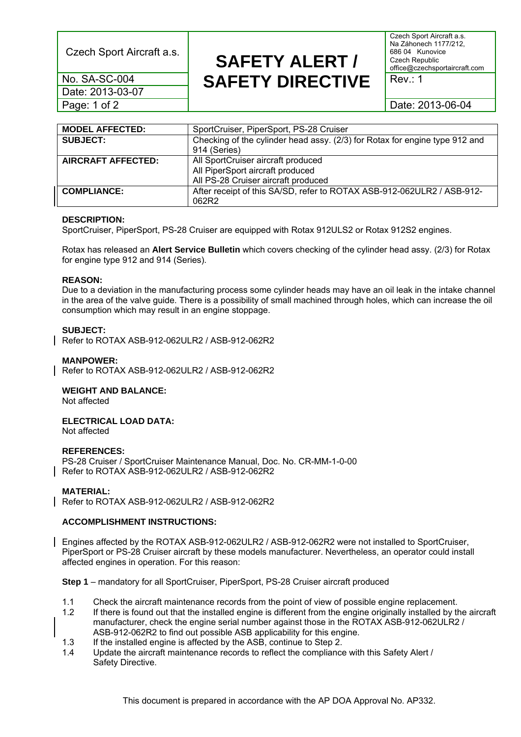Czech Sport Aircraft a.s. **SAFETY ALERT /** 

Date: 2013-03-07

Czech Sport Aircraft a.s. Na Záhonech 1177/212, 686 04 Kunovice Czech Republic office@czechsportaircraft.com

**No. SA-SC-004 SAFETY DIRECTIVE** Rev.: 1

Page: 1 of 2 2013-06-04

| <b>MODEL AFFECTED:</b>    | SportCruiser, PiperSport, PS-28 Cruiser                                     |
|---------------------------|-----------------------------------------------------------------------------|
| <b>SUBJECT:</b>           | Checking of the cylinder head assy. (2/3) for Rotax for engine type 912 and |
|                           | 914 (Series)                                                                |
| <b>AIRCRAFT AFFECTED:</b> | All SportCruiser aircraft produced                                          |
|                           | All PiperSport aircraft produced                                            |
|                           | All PS-28 Cruiser aircraft produced                                         |
| <b>COMPLIANCE:</b>        | After receipt of this SA/SD, refer to ROTAX ASB-912-062ULR2 / ASB-912-      |
|                           | 062R2                                                                       |

# **DESCRIPTION:**

SportCruiser, PiperSport, PS-28 Cruiser are equipped with Rotax 912ULS2 or Rotax 912S2 engines.

Rotax has released an **Alert Service Bulletin** which covers checking of the cylinder head assy. (2/3) for Rotax for engine type 912 and 914 (Series).

#### **REASON:**

Due to a deviation in the manufacturing process some cylinder heads may have an oil leak in the intake channel in the area of the valve guide. There is a possibility of small machined through holes, which can increase the oil consumption which may result in an engine stoppage.

# **SUBJECT:**

Refer to ROTAX ASB-912-062ULR2 / ASB-912-062R2

# **MANPOWER:**

Refer to ROTAX ASB-912-062ULR2 / ASB-912-062R2

# **WEIGHT AND BALANCE:**

Not affected

# **ELECTRICAL LOAD DATA:**

Not affected

#### **REFERENCES:**

PS-28 Cruiser / SportCruiser Maintenance Manual, Doc. No. CR-MM-1-0-00 Refer to ROTAX ASB-912-062ULR2 / ASB-912-062R2

# **MATERIAL:**

Refer to ROTAX ASB-912-062ULR2 / ASB-912-062R2

# **ACCOMPLISHMENT INSTRUCTIONS:**

Engines affected by the ROTAX ASB-912-062ULR2 / ASB-912-062R2 were not installed to SportCruiser, PiperSport or PS-28 Cruiser aircraft by these models manufacturer. Nevertheless, an operator could install affected engines in operation. For this reason:

**Step 1** – mandatory for all SportCruiser, PiperSport, PS-28 Cruiser aircraft produced

- 1.1 Check the aircraft maintenance records from the point of view of possible engine replacement.
- 1.2 If there is found out that the installed engine is different from the engine originally installed by the aircraft manufacturer, check the engine serial number against those in the ROTAX ASB-912-062ULR2 / ASB-912-062R2 to find out possible ASB applicability for this engine.
- 1.3 If the installed engine is affected by the ASB, continue to Step 2.
- 1.4 Update the aircraft maintenance records to reflect the compliance with this Safety Alert / Safety Directive.